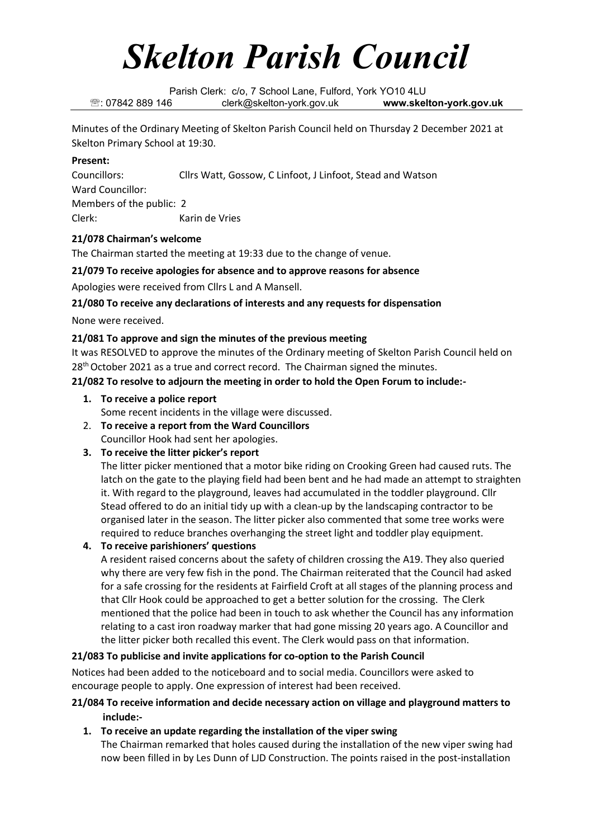# *Skelton Parish Council*

Parish Clerk: c/o, 7 School Lane, Fulford, York YO10 4LU : 07842 889 146 clerk@skelton-york.gov.uk **www.skelton-york.gov.uk**

Minutes of the Ordinary Meeting of Skelton Parish Council held on Thursday 2 December 2021 at Skelton Primary School at 19:30.

#### **Present:**

Councillors: Cllrs Watt, Gossow, C Linfoot, J Linfoot, Stead and Watson Ward Councillor: Members of the public: 2 Clerk: Karin de Vries

## **21/078 Chairman's welcome**

The Chairman started the meeting at 19:33 due to the change of venue.

## **21/079 To receive apologies for absence and to approve reasons for absence**

Apologies were received from Cllrs L and A Mansell.

## **21/080 To receive any declarations of interests and any requests for dispensation**

None were received.

## **21/081 To approve and sign the minutes of the previous meeting**

It was RESOLVED to approve the minutes of the Ordinary meeting of Skelton Parish Council held on  $28<sup>th</sup>$  October 2021 as a true and correct record. The Chairman signed the minutes.

## **21/082 To resolve to adjourn the meeting in order to hold the Open Forum to include:-**

## **1. To receive a police report**

Some recent incidents in the village were discussed.

- 2. **To receive a report from the Ward Councillors** Councillor Hook had sent her apologies.
- **3. To receive the litter picker's report**

The litter picker mentioned that a motor bike riding on Crooking Green had caused ruts. The latch on the gate to the playing field had been bent and he had made an attempt to straighten it. With regard to the playground, leaves had accumulated in the toddler playground. Cllr Stead offered to do an initial tidy up with a clean-up by the landscaping contractor to be organised later in the season. The litter picker also commented that some tree works were required to reduce branches overhanging the street light and toddler play equipment.

## **4. To receive parishioners' questions**

A resident raised concerns about the safety of children crossing the A19. They also queried why there are very few fish in the pond. The Chairman reiterated that the Council had asked for a safe crossing for the residents at Fairfield Croft at all stages of the planning process and that Cllr Hook could be approached to get a better solution for the crossing. The Clerk mentioned that the police had been in touch to ask whether the Council has any information relating to a cast iron roadway marker that had gone missing 20 years ago. A Councillor and the litter picker both recalled this event. The Clerk would pass on that information.

## **21/083 To publicise and invite applications for co-option to the Parish Council**

Notices had been added to the noticeboard and to social media. Councillors were asked to encourage people to apply. One expression of interest had been received.

## **21/084 To receive information and decide necessary action on village and playground matters to include:-**

**1. To receive an update regarding the installation of the viper swing** The Chairman remarked that holes caused during the installation of the new viper swing had now been filled in by Les Dunn of LJD Construction. The points raised in the post-installation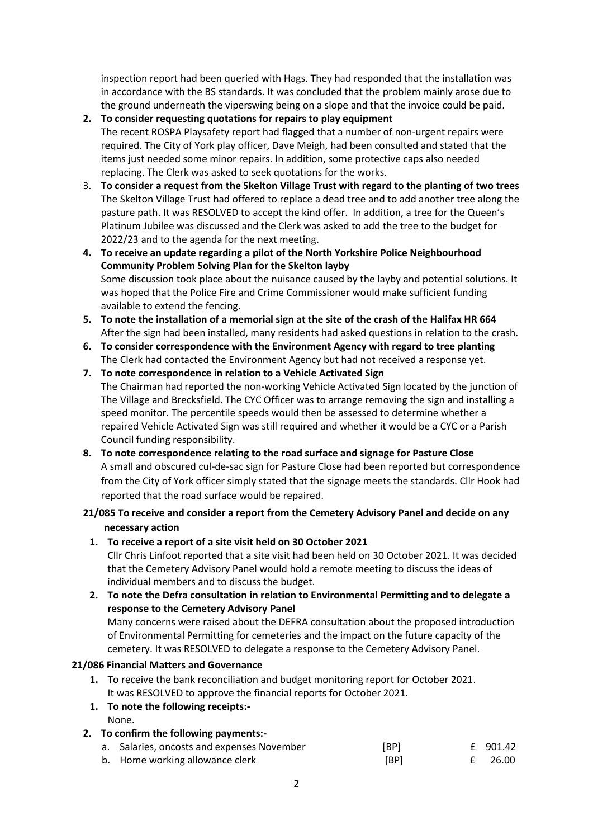inspection report had been queried with Hags. They had responded that the installation was in accordance with the BS standards. It was concluded that the problem mainly arose due to the ground underneath the viperswing being on a slope and that the invoice could be paid.

- **2. To consider requesting quotations for repairs to play equipment** The recent ROSPA Playsafety report had flagged that a number of non-urgent repairs were required. The City of York play officer, Dave Meigh, had been consulted and stated that the items just needed some minor repairs. In addition, some protective caps also needed replacing. The Clerk was asked to seek quotations for the works.
- 3. **To consider a request from the Skelton Village Trust with regard to the planting of two trees** The Skelton Village Trust had offered to replace a dead tree and to add another tree along the pasture path. It was RESOLVED to accept the kind offer. In addition, a tree for the Queen's Platinum Jubilee was discussed and the Clerk was asked to add the tree to the budget for 2022/23 and to the agenda for the next meeting.
- **4. To receive an update regarding a pilot of the North Yorkshire Police Neighbourhood Community Problem Solving Plan for the Skelton layby** Some discussion took place about the nuisance caused by the layby and potential solutions. It was hoped that the Police Fire and Crime Commissioner would make sufficient funding available to extend the fencing.
- **5. To note the installation of a memorial sign at the site of the crash of the Halifax HR 664** After the sign had been installed, many residents had asked questions in relation to the crash.
- **6. To consider correspondence with the Environment Agency with regard to tree planting**  The Clerk had contacted the Environment Agency but had not received a response yet.
- **7. To note correspondence in relation to a Vehicle Activated Sign** The Chairman had reported the non-working Vehicle Activated Sign located by the junction of The Village and Brecksfield. The CYC Officer was to arrange removing the sign and installing a speed monitor. The percentile speeds would then be assessed to determine whether a repaired Vehicle Activated Sign was still required and whether it would be a CYC or a Parish Council funding responsibility.
- **8. To note correspondence relating to the road surface and signage for Pasture Close** A small and obscured cul-de-sac sign for Pasture Close had been reported but correspondence from the City of York officer simply stated that the signage meets the standards. Cllr Hook had reported that the road surface would be repaired.

# **21/085 To receive and consider a report from the Cemetery Advisory Panel and decide on any necessary action**

- **1. To receive a report of a site visit held on 30 October 2021** Cllr Chris Linfoot reported that a site visit had been held on 30 October 2021. It was decided that the Cemetery Advisory Panel would hold a remote meeting to discuss the ideas of individual members and to discuss the budget.
- **2. To note the Defra consultation in relation to Environmental Permitting and to delegate a response to the Cemetery Advisory Panel** Many concerns were raised about the DEFRA consultation about the proposed introduction of Environmental Permitting for cemeteries and the impact on the future capacity of the cemetery. It was RESOLVED to delegate a response to the Cemetery Advisory Panel.

# **21/086 Financial Matters and Governance**

- **1.** To receive the bank reconciliation and budget monitoring report for October 2021. It was RESOLVED to approve the financial reports for October 2021.
- **1. To note the following receipts:-** None.
- **2. To confirm the following payments:** a. Salaries, oncosts and expenses November [BP] 6 1.42 b. Home working allowance clerk **b.** [BP] 6 26.00